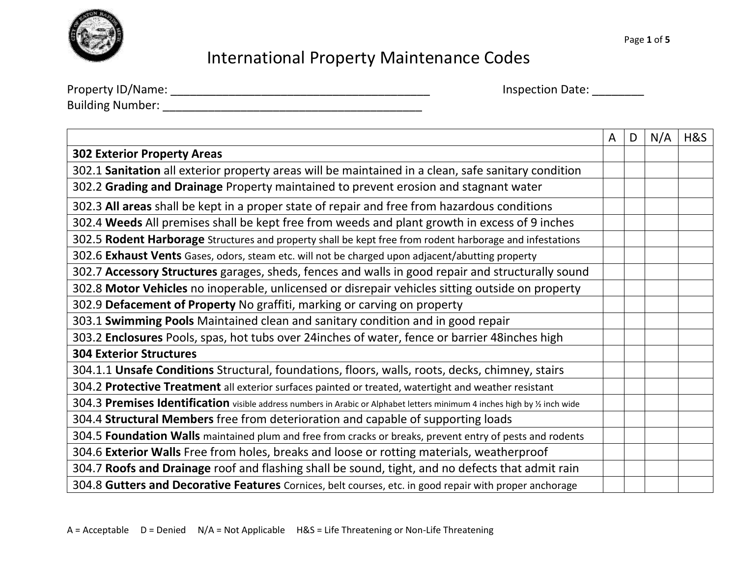

| Property ID/Name:       |  |
|-------------------------|--|
| <b>Building Number:</b> |  |

Property ID/Name: \_\_\_\_\_\_\_\_\_\_\_\_\_\_\_\_\_\_\_\_\_\_\_\_\_\_\_\_\_\_\_\_\_\_\_\_\_\_\_\_ Inspection Date: \_\_\_\_\_\_\_\_

|                                                                                                                            | A | D | N/A | H&S |
|----------------------------------------------------------------------------------------------------------------------------|---|---|-----|-----|
| <b>302 Exterior Property Areas</b>                                                                                         |   |   |     |     |
| 302.1 Sanitation all exterior property areas will be maintained in a clean, safe sanitary condition                        |   |   |     |     |
| 302.2 Grading and Drainage Property maintained to prevent erosion and stagnant water                                       |   |   |     |     |
| 302.3 All areas shall be kept in a proper state of repair and free from hazardous conditions                               |   |   |     |     |
| 302.4 Weeds All premises shall be kept free from weeds and plant growth in excess of 9 inches                              |   |   |     |     |
| 302.5 Rodent Harborage Structures and property shall be kept free from rodent harborage and infestations                   |   |   |     |     |
| 302.6 Exhaust Vents Gases, odors, steam etc. will not be charged upon adjacent/abutting property                           |   |   |     |     |
| 302.7 Accessory Structures garages, sheds, fences and walls in good repair and structurally sound                          |   |   |     |     |
| 302.8 Motor Vehicles no inoperable, unlicensed or disrepair vehicles sitting outside on property                           |   |   |     |     |
| 302.9 Defacement of Property No graffiti, marking or carving on property                                                   |   |   |     |     |
| 303.1 Swimming Pools Maintained clean and sanitary condition and in good repair                                            |   |   |     |     |
| 303.2 Enclosures Pools, spas, hot tubs over 24 inches of water, fence or barrier 48 inches high                            |   |   |     |     |
| <b>304 Exterior Structures</b>                                                                                             |   |   |     |     |
| 304.1.1 Unsafe Conditions Structural, foundations, floors, walls, roots, decks, chimney, stairs                            |   |   |     |     |
| 304.2 Protective Treatment all exterior surfaces painted or treated, watertight and weather resistant                      |   |   |     |     |
| 304.3 Premises Identification visible address numbers in Arabic or Alphabet letters minimum 4 inches high by 1/2 inch wide |   |   |     |     |
| 304.4 Structural Members free from deterioration and capable of supporting loads                                           |   |   |     |     |
| 304.5 Foundation Walls maintained plum and free from cracks or breaks, prevent entry of pests and rodents                  |   |   |     |     |
| 304.6 Exterior Walls Free from holes, breaks and loose or rotting materials, weatherproof                                  |   |   |     |     |
| 304.7 Roofs and Drainage roof and flashing shall be sound, tight, and no defects that admit rain                           |   |   |     |     |
| 304.8 Gutters and Decorative Features Cornices, belt courses, etc. in good repair with proper anchorage                    |   |   |     |     |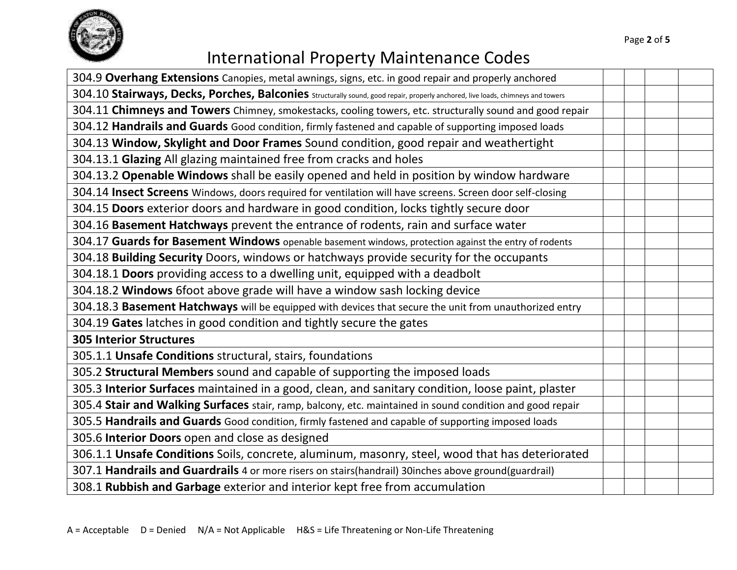

| 304.9 Overhang Extensions Canopies, metal awnings, signs, etc. in good repair and properly anchored                             |  |  |  |
|---------------------------------------------------------------------------------------------------------------------------------|--|--|--|
| 304.10 Stairways, Decks, Porches, Balconies Structurally sound, good repair, properly anchored, live loads, chimneys and towers |  |  |  |
| 304.11 Chimneys and Towers Chimney, smokestacks, cooling towers, etc. structurally sound and good repair                        |  |  |  |
| 304.12 Handrails and Guards Good condition, firmly fastened and capable of supporting imposed loads                             |  |  |  |
| 304.13 Window, Skylight and Door Frames Sound condition, good repair and weathertight                                           |  |  |  |
| 304.13.1 Glazing All glazing maintained free from cracks and holes                                                              |  |  |  |
| 304.13.2 Openable Windows shall be easily opened and held in position by window hardware                                        |  |  |  |
| 304.14 Insect Screens Windows, doors required for ventilation will have screens. Screen door self-closing                       |  |  |  |
| 304.15 Doors exterior doors and hardware in good condition, locks tightly secure door                                           |  |  |  |
| 304.16 Basement Hatchways prevent the entrance of rodents, rain and surface water                                               |  |  |  |
| 304.17 Guards for Basement Windows openable basement windows, protection against the entry of rodents                           |  |  |  |
| 304.18 Building Security Doors, windows or hatchways provide security for the occupants                                         |  |  |  |
| 304.18.1 Doors providing access to a dwelling unit, equipped with a deadbolt                                                    |  |  |  |
| 304.18.2 Windows 6foot above grade will have a window sash locking device                                                       |  |  |  |
| 304.18.3 Basement Hatchways will be equipped with devices that secure the unit from unauthorized entry                          |  |  |  |
| 304.19 Gates latches in good condition and tightly secure the gates                                                             |  |  |  |
| <b>305 Interior Structures</b>                                                                                                  |  |  |  |
| 305.1.1 Unsafe Conditions structural, stairs, foundations                                                                       |  |  |  |
| 305.2 Structural Members sound and capable of supporting the imposed loads                                                      |  |  |  |
| 305.3 Interior Surfaces maintained in a good, clean, and sanitary condition, loose paint, plaster                               |  |  |  |
| 305.4 Stair and Walking Surfaces stair, ramp, balcony, etc. maintained in sound condition and good repair                       |  |  |  |
| 305.5 Handrails and Guards Good condition, firmly fastened and capable of supporting imposed loads                              |  |  |  |
| 305.6 Interior Doors open and close as designed                                                                                 |  |  |  |
| 306.1.1 Unsafe Conditions Soils, concrete, aluminum, masonry, steel, wood that has deteriorated                                 |  |  |  |
| 307.1 Handrails and Guardrails 4 or more risers on stairs(handrail) 30inches above ground(guardrail)                            |  |  |  |
| 308.1 Rubbish and Garbage exterior and interior kept free from accumulation                                                     |  |  |  |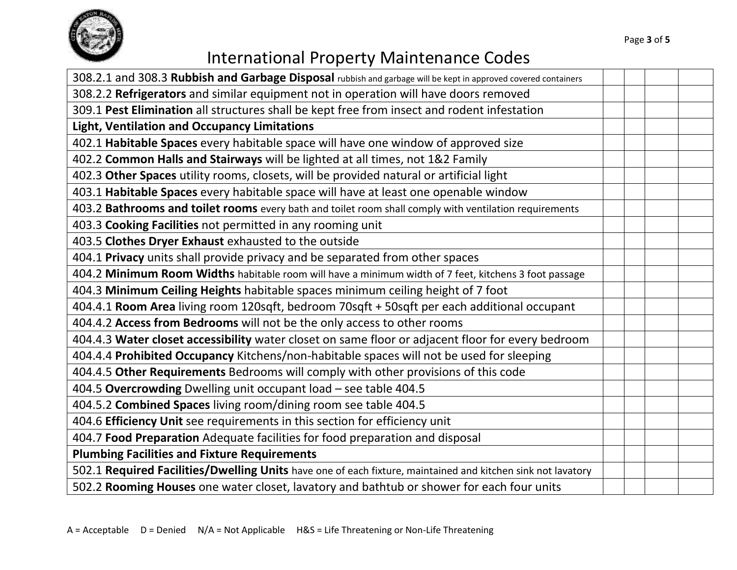

| 308.2.1 and 308.3 Rubbish and Garbage Disposal rubbish and garbage will be kept in approved covered containers |  |  |
|----------------------------------------------------------------------------------------------------------------|--|--|
| 308.2.2 Refrigerators and similar equipment not in operation will have doors removed                           |  |  |
| 309.1 Pest Elimination all structures shall be kept free from insect and rodent infestation                    |  |  |
| <b>Light, Ventilation and Occupancy Limitations</b>                                                            |  |  |
| 402.1 Habitable Spaces every habitable space will have one window of approved size                             |  |  |
| 402.2 Common Halls and Stairways will be lighted at all times, not 1&2 Family                                  |  |  |
| 402.3 Other Spaces utility rooms, closets, will be provided natural or artificial light                        |  |  |
| 403.1 Habitable Spaces every habitable space will have at least one openable window                            |  |  |
| 403.2 Bathrooms and toilet rooms every bath and toilet room shall comply with ventilation requirements         |  |  |
| 403.3 Cooking Facilities not permitted in any rooming unit                                                     |  |  |
| 403.5 Clothes Dryer Exhaust exhausted to the outside                                                           |  |  |
| 404.1 Privacy units shall provide privacy and be separated from other spaces                                   |  |  |
| 404.2 Minimum Room Widths habitable room will have a minimum width of 7 feet, kitchens 3 foot passage          |  |  |
| 404.3 Minimum Ceiling Heights habitable spaces minimum ceiling height of 7 foot                                |  |  |
| 404.4.1 Room Area living room 120sqft, bedroom 70sqft + 50sqft per each additional occupant                    |  |  |
| 404.4.2 Access from Bedrooms will not be the only access to other rooms                                        |  |  |
| 404.4.3 Water closet accessibility water closet on same floor or adjacent floor for every bedroom              |  |  |
| 404.4.4 Prohibited Occupancy Kitchens/non-habitable spaces will not be used for sleeping                       |  |  |
| 404.4.5 Other Requirements Bedrooms will comply with other provisions of this code                             |  |  |
| 404.5 Overcrowding Dwelling unit occupant load - see table 404.5                                               |  |  |
| 404.5.2 Combined Spaces living room/dining room see table 404.5                                                |  |  |
| 404.6 Efficiency Unit see requirements in this section for efficiency unit                                     |  |  |
| 404.7 Food Preparation Adequate facilities for food preparation and disposal                                   |  |  |
| <b>Plumbing Facilities and Fixture Requirements</b>                                                            |  |  |
| 502.1 Required Facilities/Dwelling Units have one of each fixture, maintained and kitchen sink not lavatory    |  |  |
| 502.2 Rooming Houses one water closet, lavatory and bathtub or shower for each four units                      |  |  |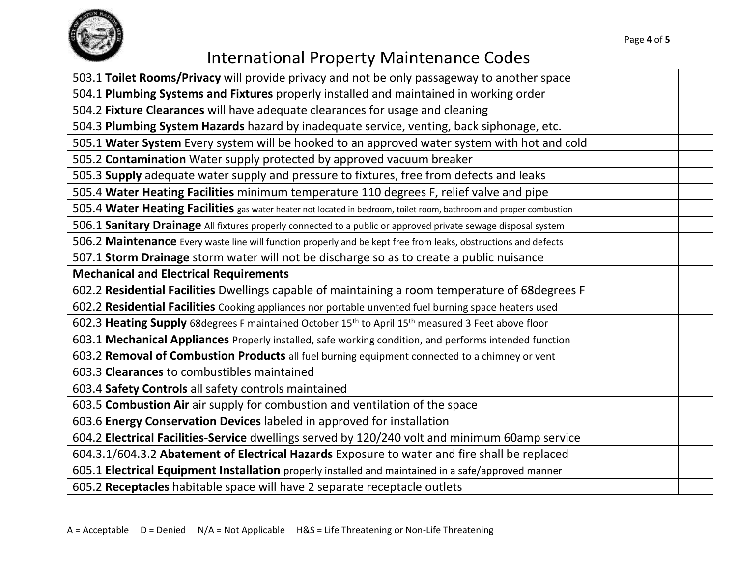

| 503.1 Toilet Rooms/Privacy will provide privacy and not be only passageway to another space                                |  |  |
|----------------------------------------------------------------------------------------------------------------------------|--|--|
| 504.1 Plumbing Systems and Fixtures properly installed and maintained in working order                                     |  |  |
| 504.2 Fixture Clearances will have adequate clearances for usage and cleaning                                              |  |  |
| 504.3 Plumbing System Hazards hazard by inadequate service, venting, back siphonage, etc.                                  |  |  |
| 505.1 Water System Every system will be hooked to an approved water system with hot and cold                               |  |  |
| 505.2 Contamination Water supply protected by approved vacuum breaker                                                      |  |  |
| 505.3 Supply adequate water supply and pressure to fixtures, free from defects and leaks                                   |  |  |
| 505.4 Water Heating Facilities minimum temperature 110 degrees F, relief valve and pipe                                    |  |  |
| 505.4 Water Heating Facilities gas water heater not located in bedroom, toilet room, bathroom and proper combustion        |  |  |
| 506.1 Sanitary Drainage All fixtures properly connected to a public or approved private sewage disposal system             |  |  |
| 506.2 Maintenance Every waste line will function properly and be kept free from leaks, obstructions and defects            |  |  |
| 507.1 Storm Drainage storm water will not be discharge so as to create a public nuisance                                   |  |  |
| <b>Mechanical and Electrical Requirements</b>                                                                              |  |  |
| 602.2 Residential Facilities Dwellings capable of maintaining a room temperature of 68degrees F                            |  |  |
| 602.2 Residential Facilities Cooking appliances nor portable unvented fuel burning space heaters used                      |  |  |
| 602.3 Heating Supply 68degrees F maintained October 15 <sup>th</sup> to April 15 <sup>th</sup> measured 3 Feet above floor |  |  |
| 603.1 Mechanical Appliances Properly installed, safe working condition, and performs intended function                     |  |  |
| 603.2 Removal of Combustion Products all fuel burning equipment connected to a chimney or vent                             |  |  |
| 603.3 Clearances to combustibles maintained                                                                                |  |  |
| 603.4 Safety Controls all safety controls maintained                                                                       |  |  |
| 603.5 Combustion Air air supply for combustion and ventilation of the space                                                |  |  |
| 603.6 Energy Conservation Devices labeled in approved for installation                                                     |  |  |
| 604.2 Electrical Facilities-Service dwellings served by 120/240 volt and minimum 60amp service                             |  |  |
| 604.3.1/604.3.2 Abatement of Electrical Hazards Exposure to water and fire shall be replaced                               |  |  |
| 605.1 Electrical Equipment Installation properly installed and maintained in a safe/approved manner                        |  |  |
| 605.2 Receptacles habitable space will have 2 separate receptacle outlets                                                  |  |  |